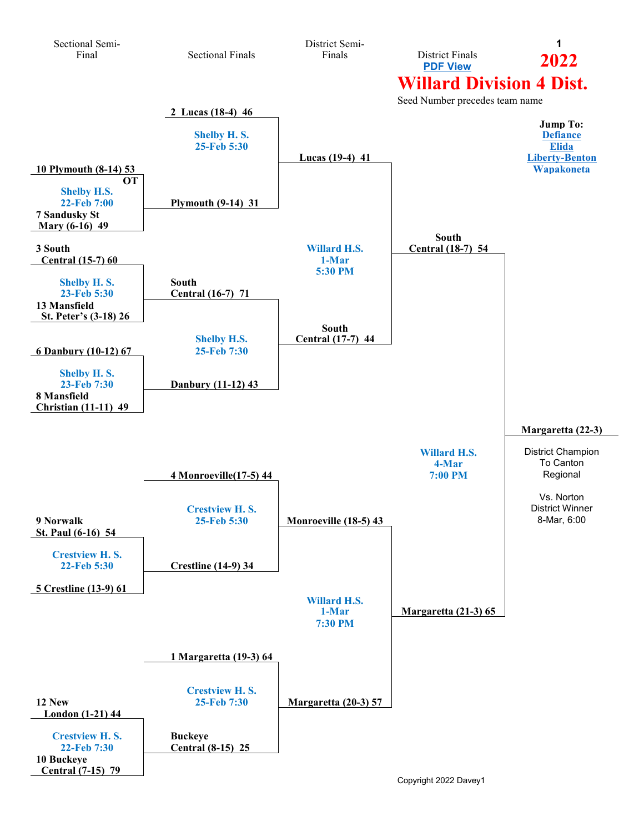<span id="page-0-0"></span>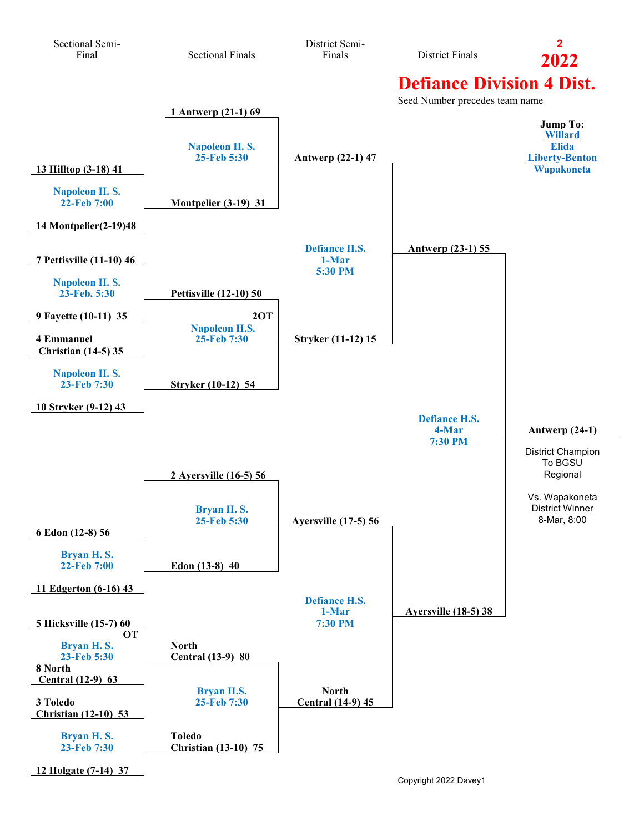<span id="page-1-0"></span>

Copyright 2022 Davey1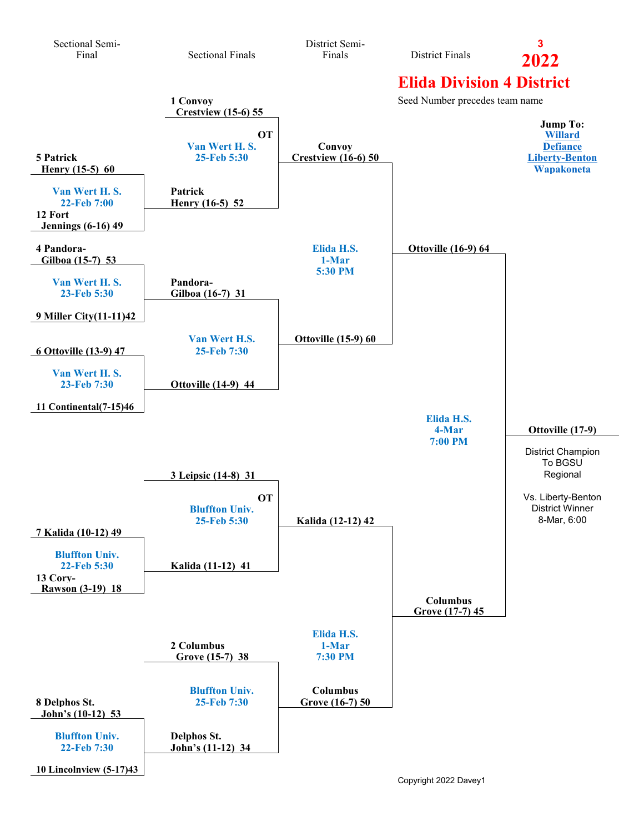<span id="page-2-0"></span>

Copyright 2022 Davey1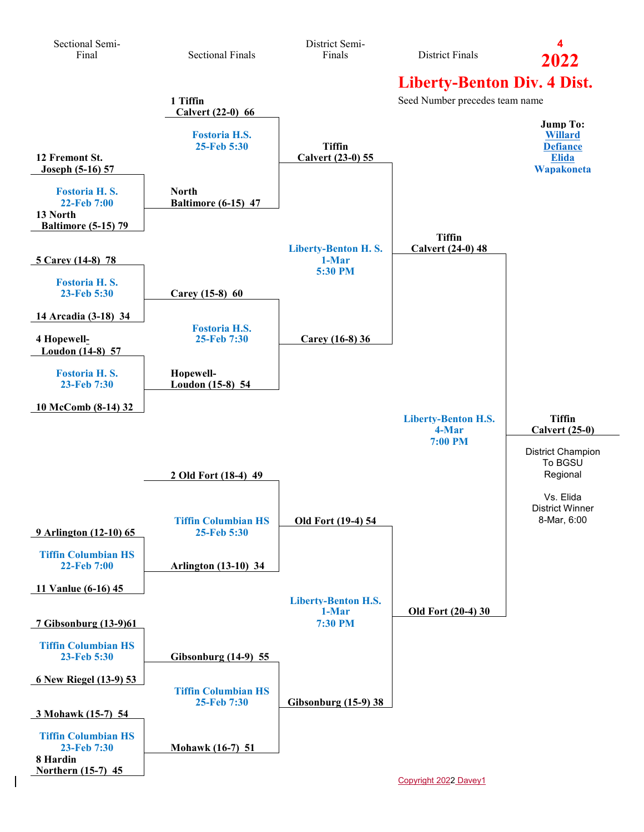<span id="page-3-0"></span>